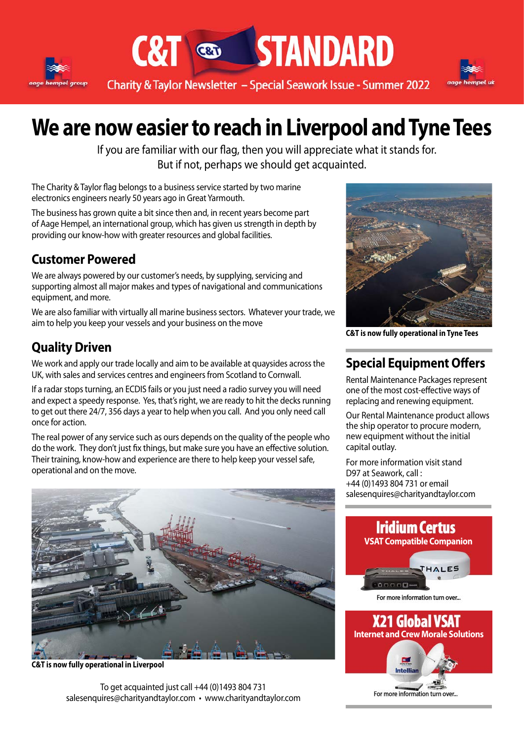



**C&T & STANDARD** 



## **We are now easier to reach in Liverpool and Tyne Tees**

If you are familiar with our flag, then you will appreciate what it stands for. But if not, perhaps we should get acquainted.

The Charity & Taylor flag belongs to a business service started by two marine electronics engineers nearly 50 years ago in Great Yarmouth.

The business has grown quite a bit since then and, in recent years become part of Aage Hempel, an international group, which has given us strength in depth by providing our know-how with greater resources and global facilities.

#### **Customer Powered**

We are always powered by our customer's needs, by supplying, servicing and supporting almost all major makes and types of navigational and communications equipment, and more.

We are also familiar with virtually all marine business sectors. Whatever your trade, we aim to help you keep your vessels and your business on the move

## **Quality Driven**

We work and apply our trade locally and aim to be available at quaysides across the UK, with sales and services centres and engineers from Scotland to Cornwall.

If a radar stops turning, an ECDIS fails or you just need a radio survey you will need and expect a speedy response. Yes, that's right, we are ready to hit the decks running to get out there 24/7, 356 days a year to help when you call. And you only need call once for action.

The real power of any service such as ours depends on the quality of the people who do the work. They don't just fix things, but make sure you have an effective solution. Their training, know-how and experience are there to help keep your vessel safe, operational and on the move.



**C&T is now fully operational in Liverpool**

To get acquainted just call +44 (0)1493 804 731 salesenquires@charityandtaylor.com • www.charityandtaylor.com



**C&T is now fully operational in Tyne Tees**

### **Special Equipment Offers**

Rental Maintenance Packages represent one of the most cost-effective ways of replacing and renewing equipment.

Our Rental Maintenance product allows the ship operator to procure modern, new equipment without the initial capital outlay.

For more information visit stand D97 at Seawork, call : +44 (0)1493 804 731 or email salesenquires@charityandtaylor.com



Intellia

For more information turn over...